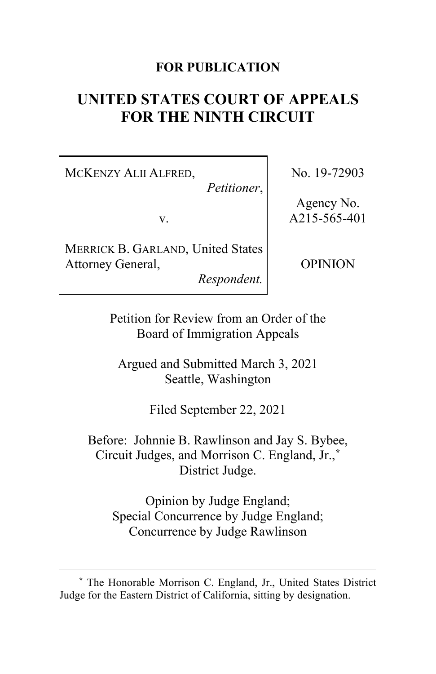### **FOR PUBLICATION**

# **UNITED STATES COURT OF APPEALS FOR THE NINTH CIRCUIT**

MCKENZY ALII ALFRED,

*Petitioner*,

v.

MERRICK B. GARLAND, United States Attorney General,

*Respondent.*

No. 19-72903

Agency No. A215-565-401

OPINION

Petition for Review from an Order of the Board of Immigration Appeals

Argued and Submitted March 3, 2021 Seattle, Washington

Filed September 22, 2021

Before: Johnnie B. Rawlinson and Jay S. Bybee, Circuit Judges, and Morrison C. England, Jr.,**[\\*](#page-0-0)** District Judge.

Opinion by Judge England; Special Concurrence by Judge England; Concurrence by Judge Rawlinson

<span id="page-0-0"></span>**<sup>\*</sup>** The Honorable Morrison C. England, Jr., United States District Judge for the Eastern District of California, sitting by designation.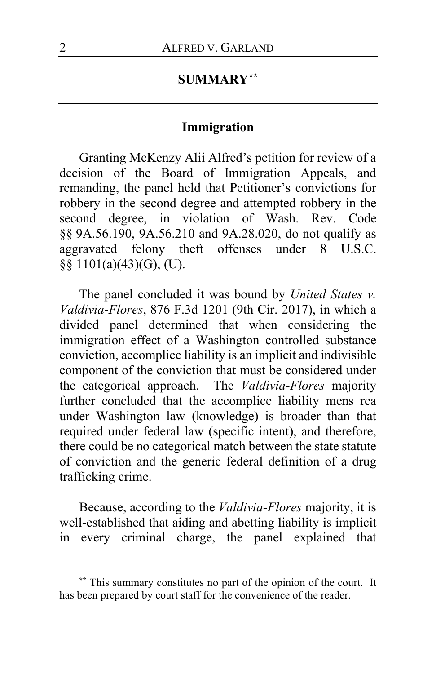# **SUMMARY[\\*\\*](#page-1-0)**

## **Immigration**

Granting McKenzy Alii Alfred's petition for review of a decision of the Board of Immigration Appeals, and remanding, the panel held that Petitioner's convictions for robbery in the second degree and attempted robbery in the second degree, in violation of Wash. Rev. Code §§ 9A.56.190, 9A.56.210 and 9A.28.020, do not qualify as aggravated felony theft offenses under 8 U.S.C. §§ 1101(a)(43)(G), (U).

The panel concluded it was bound by *United States v. Valdivia-Flores*, 876 F.3d 1201 (9th Cir. 2017), in which a divided panel determined that when considering the immigration effect of a Washington controlled substance conviction, accomplice liability is an implicit and indivisible component of the conviction that must be considered under the categorical approach. The *Valdivia-Flores* majority further concluded that the accomplice liability mens rea under Washington law (knowledge) is broader than that required under federal law (specific intent), and therefore, there could be no categorical match between the state statute of conviction and the generic federal definition of a drug trafficking crime.

Because, according to the *Valdivia-Flores* majority, it is well-established that aiding and abetting liability is implicit in every criminal charge, the panel explained that

<span id="page-1-0"></span>**<sup>\*\*</sup>** This summary constitutes no part of the opinion of the court. It has been prepared by court staff for the convenience of the reader.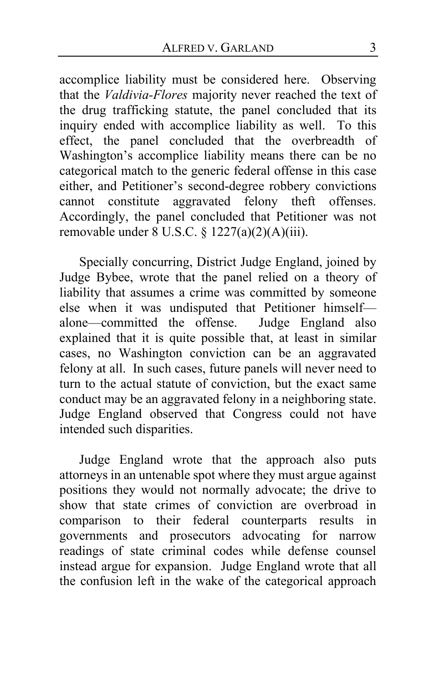accomplice liability must be considered here. Observing that the *Valdivia-Flores* majority never reached the text of the drug trafficking statute, the panel concluded that its inquiry ended with accomplice liability as well. To this effect, the panel concluded that the overbreadth of Washington's accomplice liability means there can be no categorical match to the generic federal offense in this case either, and Petitioner's second-degree robbery convictions cannot constitute aggravated felony theft offenses. Accordingly, the panel concluded that Petitioner was not removable under 8 U.S.C. § 1227(a)(2)(A)(iii).

Specially concurring, District Judge England, joined by Judge Bybee, wrote that the panel relied on a theory of liability that assumes a crime was committed by someone else when it was undisputed that Petitioner himself—<br>alone—committed the offense. Judge England also alone—committed the offense. explained that it is quite possible that, at least in similar cases, no Washington conviction can be an aggravated felony at all. In such cases, future panels will never need to turn to the actual statute of conviction, but the exact same conduct may be an aggravated felony in a neighboring state. Judge England observed that Congress could not have intended such disparities.

Judge England wrote that the approach also puts attorneys in an untenable spot where they must argue against positions they would not normally advocate; the drive to show that state crimes of conviction are overbroad in comparison to their federal counterparts results in governments and prosecutors advocating for narrow readings of state criminal codes while defense counsel instead argue for expansion. Judge England wrote that all the confusion left in the wake of the categorical approach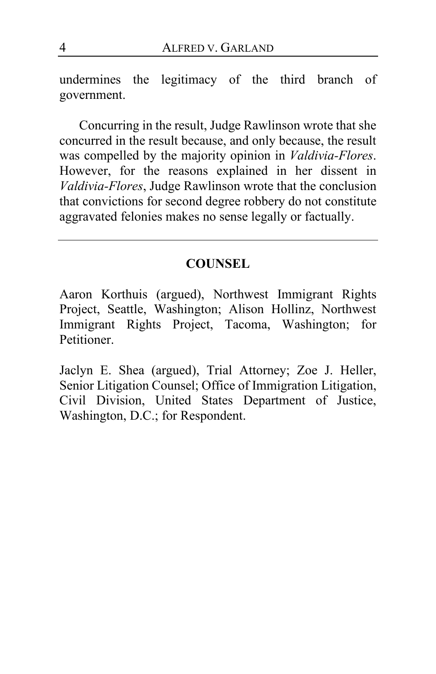undermines the legitimacy of the third branch of government.

Concurring in the result, Judge Rawlinson wrote that she concurred in the result because, and only because, the result was compelled by the majority opinion in *Valdivia-Flores*. However, for the reasons explained in her dissent in *Valdivia-Flores*, Judge Rawlinson wrote that the conclusion that convictions for second degree robbery do not constitute aggravated felonies makes no sense legally or factually.

### **COUNSEL**

Aaron Korthuis (argued), Northwest Immigrant Rights Project, Seattle, Washington; Alison Hollinz, Northwest Immigrant Rights Project, Tacoma, Washington; for Petitioner.

Jaclyn E. Shea (argued), Trial Attorney; Zoe J. Heller, Senior Litigation Counsel; Office of Immigration Litigation, Civil Division, United States Department of Justice, Washington, D.C.; for Respondent.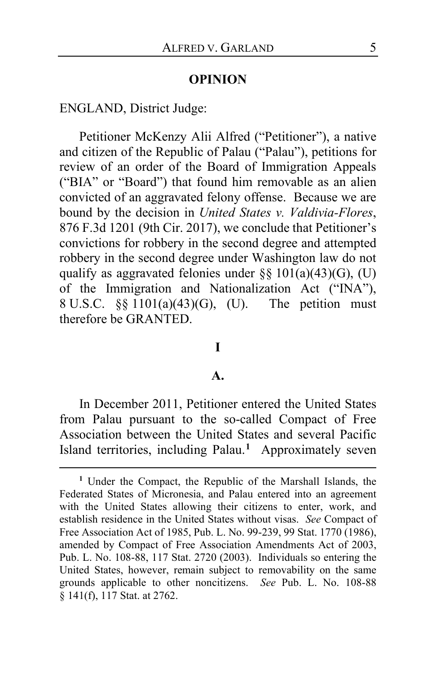#### **OPINION**

ENGLAND, District Judge:

Petitioner McKenzy Alii Alfred ("Petitioner"), a native and citizen of the Republic of Palau ("Palau"), petitions for review of an order of the Board of Immigration Appeals ("BIA" or "Board") that found him removable as an alien convicted of an aggravated felony offense. Because we are bound by the decision in *United States v. Valdivia-Flores*, 876 F.3d 1201 (9th Cir. 2017), we conclude that Petitioner's convictions for robbery in the second degree and attempted robbery in the second degree under Washington law do not qualify as aggravated felonies under §§  $101(a)(43)(G)$ , (U) of the Immigration and Nationalization Act ("INA"), 8 U.S.C. §§ 1101(a)(43)(G), (U). The petition must therefore be GRANTED.

# **I**

#### **A.**

In December 2011, Petitioner entered the United States from Palau pursuant to the so-called Compact of Free Association between the United States and several Pacific Island territories, including Palau.**[1](#page-4-0)** Approximately seven

<span id="page-4-0"></span>**<sup>1</sup>** Under the Compact, the Republic of the Marshall Islands, the Federated States of Micronesia, and Palau entered into an agreement with the United States allowing their citizens to enter, work, and establish residence in the United States without visas. *See* Compact of Free Association Act of 1985, Pub. L. No. 99-239, 99 Stat. 1770 (1986), amended by Compact of Free Association Amendments Act of 2003, Pub. L. No. 108-88, 117 Stat. 2720 (2003). Individuals so entering the United States, however, remain subject to removability on the same grounds applicable to other noncitizens. *See* Pub. L. No. 108-88  $\bar{\S}$  141(f), 117 Stat. at 2762.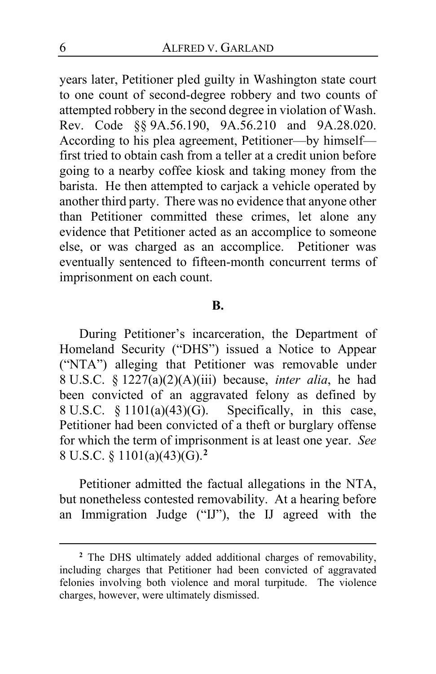years later, Petitioner pled guilty in Washington state court to one count of second-degree robbery and two counts of attempted robbery in the second degree in violation of Wash. Rev. Code §§ 9A.56.190, 9A.56.210 and 9A.28.020. According to his plea agreement, Petitioner—by himself first tried to obtain cash from a teller at a credit union before going to a nearby coffee kiosk and taking money from the barista. He then attempted to carjack a vehicle operated by another third party. There was no evidence that anyone other than Petitioner committed these crimes, let alone any evidence that Petitioner acted as an accomplice to someone else, or was charged as an accomplice. Petitioner was eventually sentenced to fifteen-month concurrent terms of imprisonment on each count.

### **B.**

During Petitioner's incarceration, the Department of Homeland Security ("DHS") issued a Notice to Appear ("NTA") alleging that Petitioner was removable under 8 U.S.C. § 1227(a)(2)(A)(iii) because, *inter alia*, he had been convicted of an aggravated felony as defined by 8 U.S.C.  $\S 1101(a)(43)(G)$ . Specifically, in this case, Petitioner had been convicted of a theft or burglary offense for which the term of imprisonment is at least one year. *See*  8 U.S.C. § 1101(a)(43)(G).**[2](#page-5-0)**

Petitioner admitted the factual allegations in the NTA, but nonetheless contested removability. At a hearing before an Immigration Judge ("IJ"), the IJ agreed with the

<span id="page-5-0"></span>**<sup>2</sup>** The DHS ultimately added additional charges of removability, including charges that Petitioner had been convicted of aggravated felonies involving both violence and moral turpitude. The violence charges, however, were ultimately dismissed.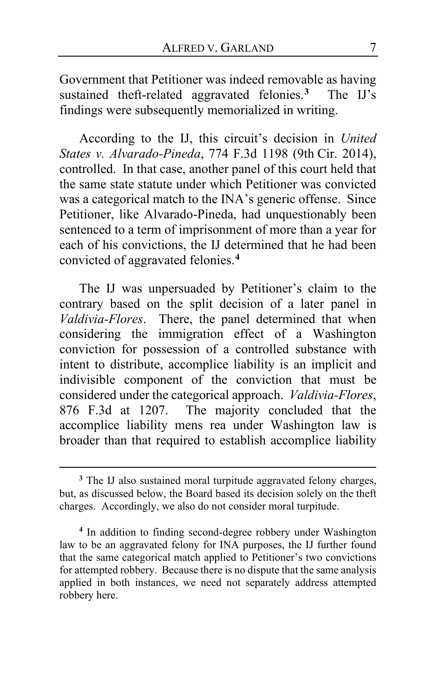Government that Petitioner was indeed removable as having sustained theft-related aggravated felonies.**[3](#page-6-0)** The IJ's findings were subsequently memorialized in writing.

According to the IJ, this circuit's decision in *United States v. Alvarado-Pineda*, 774 F.3d 1198 (9th Cir. 2014), controlled. In that case, another panel of this court held that the same state statute under which Petitioner was convicted was a categorical match to the INA's generic offense. Since Petitioner, like Alvarado-Pineda, had unquestionably been sentenced to a term of imprisonment of more than a year for each of his convictions, the IJ determined that he had been convicted of aggravated felonies.**[4](#page-6-1)**

The IJ was unpersuaded by Petitioner's claim to the contrary based on the split decision of a later panel in *Valdivia-Flores*. There, the panel determined that when considering the immigration effect of a Washington conviction for possession of a controlled substance with intent to distribute, accomplice liability is an implicit and indivisible component of the conviction that must be considered under the categorical approach. *Valdivia-Flores*, 876 F.3d at 1207. The majority concluded that the accomplice liability mens rea under Washington law is broader than that required to establish accomplice liability

<span id="page-6-0"></span>**<sup>3</sup>** The IJ also sustained moral turpitude aggravated felony charges, but, as discussed below, the Board based its decision solely on the theft charges. Accordingly, we also do not consider moral turpitude.

<span id="page-6-1"></span>**<sup>4</sup>** In addition to finding second-degree robbery under Washington law to be an aggravated felony for INA purposes, the IJ further found that the same categorical match applied to Petitioner's two convictions for attempted robbery. Because there is no dispute that the same analysis applied in both instances, we need not separately address attempted robbery here.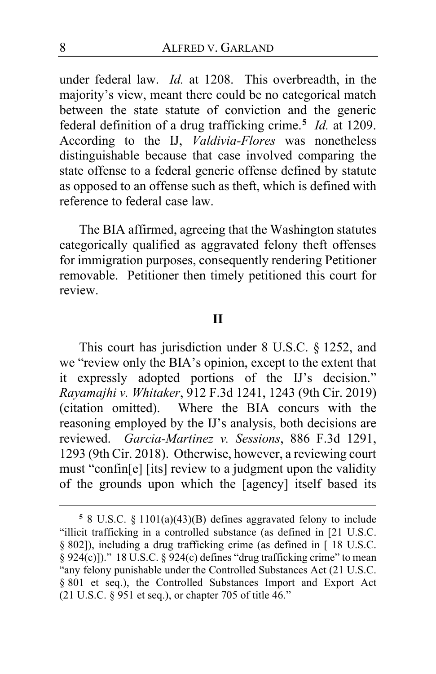under federal law. *Id.* at 1208. This overbreadth, in the majority's view, meant there could be no categorical match between the state statute of conviction and the generic federal definition of a drug trafficking crime.**[5](#page-7-0)** *Id.* at 1209. According to the IJ, *Valdivia-Flores* was nonetheless distinguishable because that case involved comparing the state offense to a federal generic offense defined by statute as opposed to an offense such as theft, which is defined with reference to federal case law.

The BIA affirmed, agreeing that the Washington statutes categorically qualified as aggravated felony theft offenses for immigration purposes, consequently rendering Petitioner removable. Petitioner then timely petitioned this court for review.

### **II**

This court has jurisdiction under 8 U.S.C. § 1252, and we "review only the BIA's opinion, except to the extent that it expressly adopted portions of the IJ's decision." *Rayamajhi v. Whitaker*, 912 F.3d 1241, 1243 (9th Cir. 2019) (citation omitted). Where the BIA concurs with the reasoning employed by the IJ's analysis, both decisions are reviewed. *Garcia-Martinez v. Sessions*, 886 F.3d 1291, 1293 (9th Cir. 2018). Otherwise, however, a reviewing court must "confin[e] [its] review to a judgment upon the validity of the grounds upon which the [agency] itself based its

<span id="page-7-0"></span>**<sup>5</sup>** 8 U.S.C. § 1101(a)(43)(B) defines aggravated felony to include "illicit trafficking in a controlled substance (as defined in [21 U.S.C. § 802]), including a drug trafficking crime (as defined in [ 18 U.S.C.  $\S 924(c)$ ])." 18 U.S.C.  $\S 924(c)$  defines "drug trafficking crime" to mean "any felony punishable under the Controlled Substances Act (21 U.S.C. § 801 et seq.), the Controlled Substances Import and Export Act  $(21 \text{ U.S.C. } \S$  951 et seq.), or chapter 705 of title 46."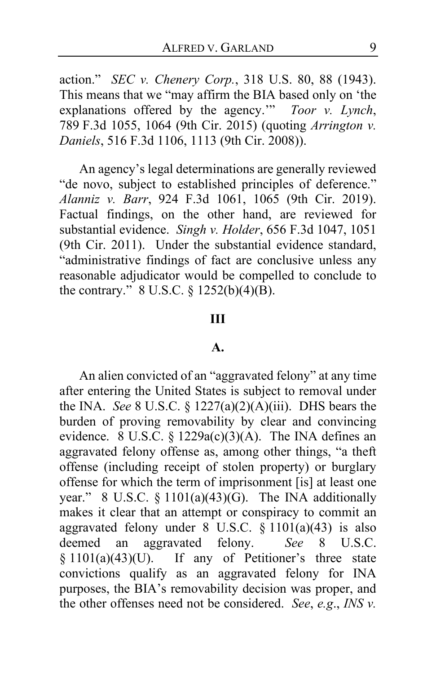action." *SEC v. Chenery Corp.*, 318 U.S. 80, 88 (1943). This means that we "may affirm the BIA based only on 'the explanations offered by the agency.'" *Toor v. Lynch*, 789 F.3d 1055, 1064 (9th Cir. 2015) (quoting *Arrington v. Daniels*, 516 F.3d 1106, 1113 (9th Cir. 2008)).

An agency's legal determinations are generally reviewed "de novo, subject to established principles of deference." *Alanniz v. Barr*, 924 F.3d 1061, 1065 (9th Cir. 2019). Factual findings, on the other hand, are reviewed for substantial evidence. *Singh v. Holder*, 656 F.3d 1047, 1051 (9th Cir. 2011). Under the substantial evidence standard, "administrative findings of fact are conclusive unless any reasonable adjudicator would be compelled to conclude to the contrary." 8 U.S.C. § 1252(b)(4)(B).

#### **III**

#### **A.**

An alien convicted of an "aggravated felony" at any time after entering the United States is subject to removal under the INA. *See* 8 U.S.C. § 1227(a)(2)(A)(iii). DHS bears the burden of proving removability by clear and convincing evidence. 8 U.S.C. § 1229a(c)(3)(A). The INA defines an aggravated felony offense as, among other things, "a theft offense (including receipt of stolen property) or burglary offense for which the term of imprisonment [is] at least one year." 8 U.S.C. § 1101(a)(43)(G). The INA additionally makes it clear that an attempt or conspiracy to commit an aggravated felony under 8 U.S.C. § 1101(a)(43) is also deemed an aggravated felony. *See* 8 U.S.C.  $§ 1101(a)(43)(U)$ . If any of Petitioner's three state convictions qualify as an aggravated felony for INA purposes, the BIA's removability decision was proper, and the other offenses need not be considered. *See*, *e.g*., *INS v.*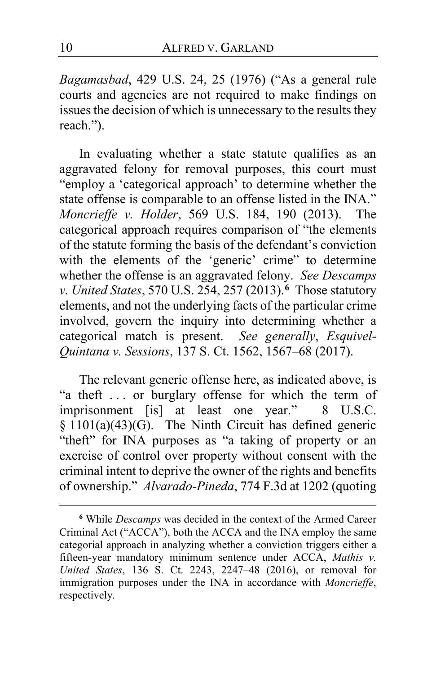*Bagamasbad*, 429 U.S. 24, 25 (1976) ("As a general rule courts and agencies are not required to make findings on issues the decision of which is unnecessary to the results they reach.").

In evaluating whether a state statute qualifies as an aggravated felony for removal purposes, this court must "employ a 'categorical approach' to determine whether the state offense is comparable to an offense listed in the INA." *Moncrieffe v. Holder*, 569 U.S. 184, 190 (2013). The categorical approach requires comparison of "the elements of the statute forming the basis of the defendant's conviction with the elements of the 'generic' crime" to determine whether the offense is an aggravated felony. *See Descamps v. United States*, 570 U.S. 254, 257 (2013).**[6](#page-9-0)** Those statutory elements, and not the underlying facts of the particular crime involved, govern the inquiry into determining whether a categorical match is present. *See generally*, *Esquivel-Quintana v. Sessions*, 137 S. Ct. 1562, 1567–68 (2017).

The relevant generic offense here, as indicated above, is "a theft . . . or burglary offense for which the term of imprisonment [is] at least one year." 8 U.S.C.  $§ 1101(a)(43)(G)$ . The Ninth Circuit has defined generic "theft" for INA purposes as "a taking of property or an exercise of control over property without consent with the criminal intent to deprive the owner of the rights and benefits of ownership." *Alvarado-Pineda*, 774 F.3d at 1202 (quoting

<span id="page-9-0"></span>**<sup>6</sup>** While *Descamps* was decided in the context of the Armed Career Criminal Act ("ACCA"), both the ACCA and the INA employ the same categorial approach in analyzing whether a conviction triggers either a fifteen-year mandatory minimum sentence under ACCA, *Mathis v. United States*, 136 S. Ct. 2243, 2247–48 (2016), or removal for immigration purposes under the INA in accordance with *Moncrieffe*, respectively*.*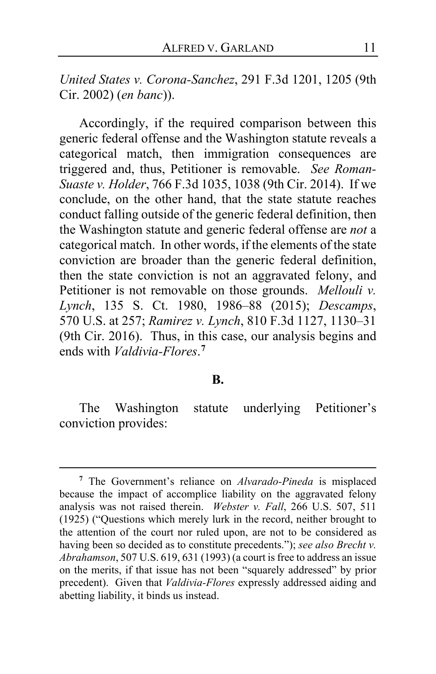*United States v. Corona-Sanchez*, 291 F.3d 1201, 1205 (9th Cir. 2002) (*en banc*)).

Accordingly, if the required comparison between this generic federal offense and the Washington statute reveals a categorical match, then immigration consequences are triggered and, thus, Petitioner is removable. *See Roman-Suaste v. Holder*, 766 F.3d 1035, 1038 (9th Cir. 2014). If we conclude, on the other hand, that the state statute reaches conduct falling outside of the generic federal definition, then the Washington statute and generic federal offense are *not* a categorical match. In other words, if the elements of the state conviction are broader than the generic federal definition, then the state conviction is not an aggravated felony, and Petitioner is not removable on those grounds. *Mellouli v. Lynch*, 135 S. Ct. 1980, 1986–88 (2015); *Descamps*, 570 U.S. at 257; *Ramirez v. Lynch*, 810 F.3d 1127, 1130–31 (9th Cir. 2016). Thus, in this case, our analysis begins and ends with *Valdivia-Flores*. **[7](#page-10-0)**

#### **B.**

The Washington statute underlying Petitioner's conviction provides:

<span id="page-10-0"></span>**<sup>7</sup>** The Government's reliance on *Alvarado-Pineda* is misplaced because the impact of accomplice liability on the aggravated felony analysis was not raised therein. *Webster v. Fall*, 266 U.S. 507, 511 (1925) ("Questions which merely lurk in the record, neither brought to the attention of the court nor ruled upon, are not to be considered as having been so decided as to constitute precedents."); *see also Brecht v. Abrahamson*, 507 U.S. 619, 631 (1993) (a court is free to address an issue on the merits, if that issue has not been "squarely addressed" by prior precedent). Given that *Valdivia-Flores* expressly addressed aiding and abetting liability, it binds us instead.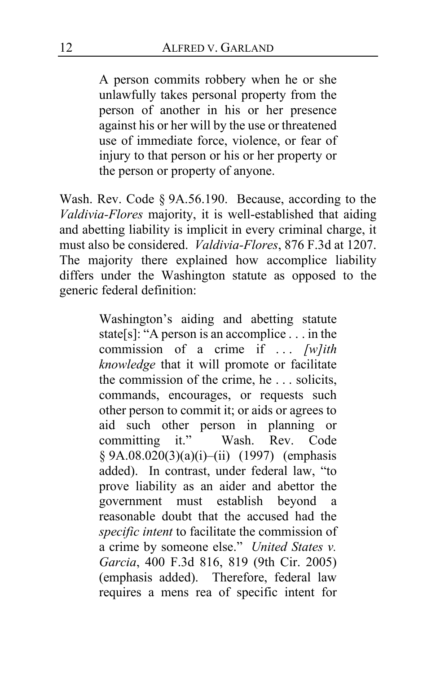A person commits robbery when he or she unlawfully takes personal property from the person of another in his or her presence against his or her will by the use or threatened use of immediate force, violence, or fear of injury to that person or his or her property or the person or property of anyone.

Wash. Rev. Code § 9A.56.190. Because, according to the *Valdivia-Flores* majority, it is well-established that aiding and abetting liability is implicit in every criminal charge, it must also be considered. *Valdivia-Flores*, 876 F.3d at 1207. The majority there explained how accomplice liability differs under the Washington statute as opposed to the generic federal definition:

> Washington's aiding and abetting statute state[s]: "A person is an accomplice . . . in the commission of a crime if . . . *[w]ith knowledge* that it will promote or facilitate the commission of the crime, he . . . solicits, commands, encourages, or requests such other person to commit it; or aids or agrees to aid such other person in planning or committing it." Wash. Rev. Code § 9A.08.020(3)(a)(i)–(ii) (1997) (emphasis added). In contrast, under federal law, "to prove liability as an aider and abettor the government must establish beyond a reasonable doubt that the accused had the *specific intent* to facilitate the commission of a crime by someone else." *United States v. Garcia*, 400 F.3d 816, 819 (9th Cir. 2005) (emphasis added). Therefore, federal law requires a mens rea of specific intent for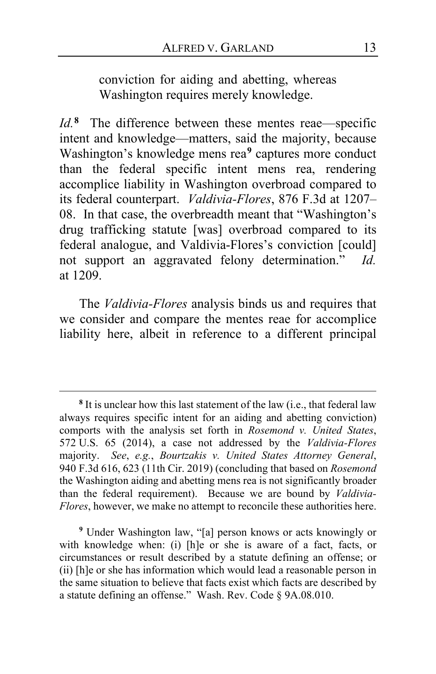conviction for aiding and abetting, whereas Washington requires merely knowledge.

*Id.***[8](#page-12-0)** The difference between these mentes reae—specific intent and knowledge—matters, said the majority, because Washington's knowledge mens rea**[9](#page-12-1)** captures more conduct than the federal specific intent mens rea, rendering accomplice liability in Washington overbroad compared to its federal counterpart. *Valdivia-Flores*, 876 F.3d at 1207– 08. In that case, the overbreadth meant that "Washington's drug trafficking statute [was] overbroad compared to its federal analogue, and Valdivia-Flores's conviction [could] not support an aggravated felony determination." *Id.* at 1209.

The *Valdivia-Flores* analysis binds us and requires that we consider and compare the mentes reae for accomplice liability here, albeit in reference to a different principal

<span id="page-12-1"></span>**<sup>9</sup>** Under Washington law, "[a] person knows or acts knowingly or with knowledge when: (i) [h]e or she is aware of a fact, facts, or circumstances or result described by a statute defining an offense; or (ii) [h]e or she has information which would lead a reasonable person in the same situation to believe that facts exist which facts are described by a statute defining an offense." Wash. Rev. Code § 9A.08.010.

<span id="page-12-0"></span>**<sup>8</sup>** It is unclear how this last statement of the law (i.e., that federal law always requires specific intent for an aiding and abetting conviction) comports with the analysis set forth in *Rosemond v. United States*, 572 U.S. 65 (2014), a case not addressed by the *Valdivia-Flores* majority. *See*, *e.g.*, *Bourtzakis v. United States Attorney General*, 940 F.3d 616, 623 (11th Cir. 2019) (concluding that based on *Rosemond* the Washington aiding and abetting mens rea is not significantly broader than the federal requirement). Because we are bound by *Valdivia-Flores*, however, we make no attempt to reconcile these authorities here.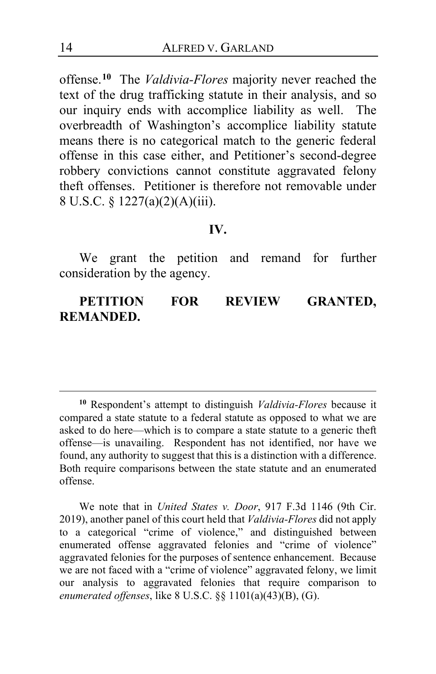offense.**[10](#page-13-0)** The *Valdivia-Flores* majority never reached the text of the drug trafficking statute in their analysis, and so our inquiry ends with accomplice liability as well. The overbreadth of Washington's accomplice liability statute means there is no categorical match to the generic federal offense in this case either, and Petitioner's second-degree robbery convictions cannot constitute aggravated felony theft offenses. Petitioner is therefore not removable under 8 U.S.C. § 1227(a)(2)(A)(iii).

#### **IV.**

We grant the petition and remand for further consideration by the agency.

**PETITION FOR REVIEW GRANTED, REMANDED.**

We note that in *United States v. Door*, 917 F.3d 1146 (9th Cir. 2019), another panel of this court held that *Valdivia-Flores* did not apply to a categorical "crime of violence," and distinguished between enumerated offense aggravated felonies and "crime of violence" aggravated felonies for the purposes of sentence enhancement. Because we are not faced with a "crime of violence" aggravated felony, we limit our analysis to aggravated felonies that require comparison to *enumerated offenses*, like 8 U.S.C. §§ 1101(a)(43)(B), (G).

<span id="page-13-0"></span>**<sup>10</sup>** Respondent's attempt to distinguish *Valdivia-Flores* because it compared a state statute to a federal statute as opposed to what we are asked to do here—which is to compare a state statute to a generic theft offense—is unavailing. Respondent has not identified, nor have we found, any authority to suggest that this is a distinction with a difference. Both require comparisons between the state statute and an enumerated offense.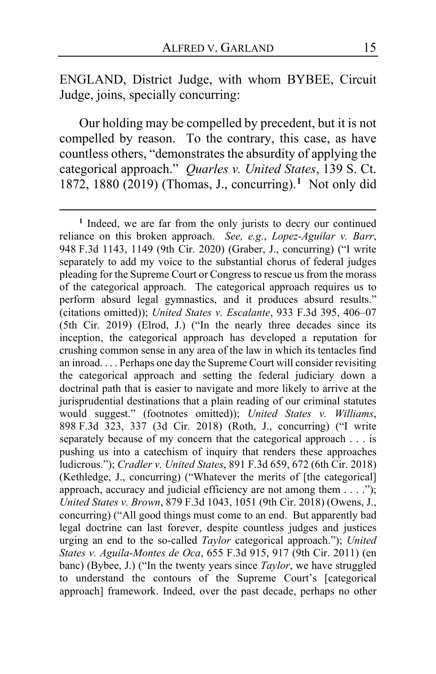ENGLAND, District Judge, with whom BYBEE, Circuit Judge, joins, specially concurring:

Our holding may be compelled by precedent, but it is not compelled by reason. To the contrary, this case, as have countless others, "demonstrates the absurdity of applying the categorical approach." *Quarles v. United States*, 139 S. Ct. 1872, 1880 (2019) (Thomas, J., concurring).**[1](#page-14-0)** Not only did

<span id="page-14-0"></span>**<sup>1</sup>** Indeed, we are far from the only jurists to decry our continued reliance on this broken approach. *See, e.g.*, *Lopez-Aguilar v. Barr*, 948 F.3d 1143, 1149 (9th Cir. 2020) (Graber, J., concurring) ("I write separately to add my voice to the substantial chorus of federal judges pleading for the Supreme Court or Congress to rescue us from the morass of the categorical approach. The categorical approach requires us to perform absurd legal gymnastics, and it produces absurd results." (citations omitted)); *United States v. Escalante*, 933 F.3d 395, 406–07 (5th Cir. 2019) (Elrod, J.) ("In the nearly three decades since its inception, the categorical approach has developed a reputation for crushing common sense in any area of the law in which its tentacles find an inroad. . . . Perhaps one day the Supreme Court will consider revisiting the categorical approach and setting the federal judiciary down a doctrinal path that is easier to navigate and more likely to arrive at the jurisprudential destinations that a plain reading of our criminal statutes would suggest." (footnotes omitted)); *United States v. Williams*, 898 F.3d 323, 337 (3d Cir. 2018) (Roth, J., concurring) ("I write separately because of my concern that the categorical approach . . . is pushing us into a catechism of inquiry that renders these approaches ludicrous."); *Cradler v. United States*, 891 F.3d 659, 672 (6th Cir. 2018) (Kethledge, J., concurring) ("Whatever the merits of [the categorical] approach, accuracy and judicial efficiency are not among them . . . ."); *United States v. Brown*, 879 F.3d 1043, 1051 (9th Cir. 2018) (Owens, J., concurring) ("All good things must come to an end. But apparently bad legal doctrine can last forever, despite countless judges and justices urging an end to the so-called *Taylor* categorical approach."); *United States v. Aguila-Montes de Oca*, 655 F.3d 915, 917 (9th Cir. 2011) (en banc) (Bybee, J.) ("In the twenty years since *Taylor*, we have struggled to understand the contours of the Supreme Court's [categorical approach] framework. Indeed, over the past decade, perhaps no other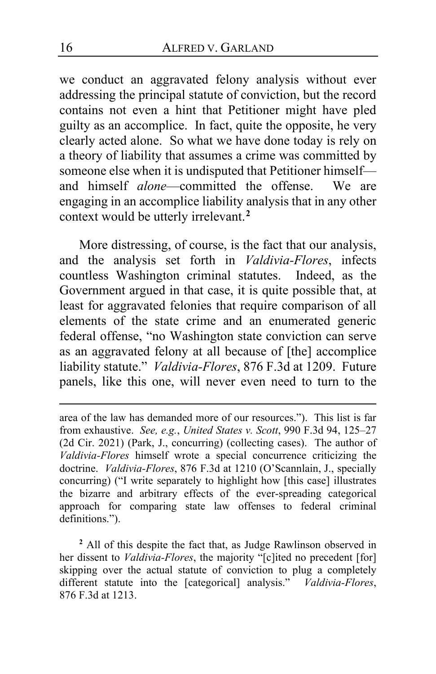we conduct an aggravated felony analysis without ever addressing the principal statute of conviction, but the record contains not even a hint that Petitioner might have pled guilty as an accomplice. In fact, quite the opposite, he very clearly acted alone. So what we have done today is rely on a theory of liability that assumes a crime was committed by someone else when it is undisputed that Petitioner himself and himself *alone*—committed the offense. We are engaging in an accomplice liability analysis that in any other context would be utterly irrelevant.**[2](#page-15-0)**

More distressing, of course, is the fact that our analysis, and the analysis set forth in *Valdivia-Flores*, infects countless Washington criminal statutes. Indeed, as the Government argued in that case, it is quite possible that, at least for aggravated felonies that require comparison of all elements of the state crime and an enumerated generic federal offense, "no Washington state conviction can serve as an aggravated felony at all because of [the] accomplice liability statute." *Valdivia-Flores*, 876 F.3d at 1209. Future panels, like this one, will never even need to turn to the

area of the law has demanded more of our resources."). This list is far from exhaustive. *See, e.g.*, *United States v. Scott*, 990 F.3d 94, 125–27 (2d Cir. 2021) (Park, J., concurring) (collecting cases). The author of *Valdivia-Flores* himself wrote a special concurrence criticizing the doctrine. *Valdivia-Flores*, 876 F.3d at 1210 (O'Scannlain, J., specially concurring) ("I write separately to highlight how [this case] illustrates the bizarre and arbitrary effects of the ever-spreading categorical approach for comparing state law offenses to federal criminal definitions.").

<span id="page-15-0"></span>**<sup>2</sup>** All of this despite the fact that, as Judge Rawlinson observed in her dissent to *Valdivia-Flores*, the majority "[c]ited no precedent [for] skipping over the actual statute of conviction to plug a completely different statute into the [categorical] analysis." *Valdivia-Flores*, 876 F.3d at 1213.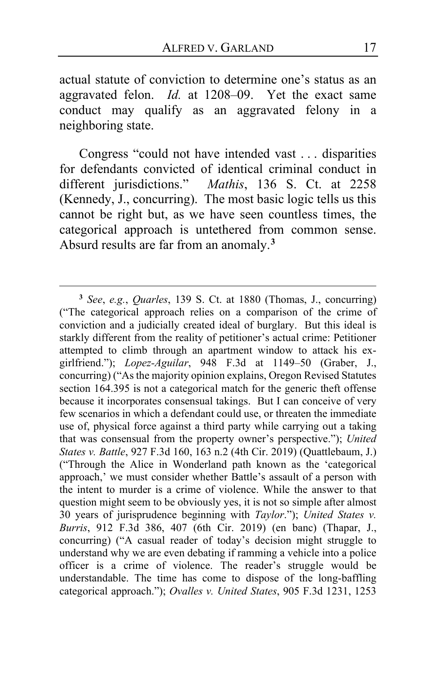actual statute of conviction to determine one's status as an aggravated felon. *Id.* at 1208–09. Yet the exact same conduct may qualify as an aggravated felony in a neighboring state.

Congress "could not have intended vast . . . disparities for defendants convicted of identical criminal conduct in different jurisdictions." *Mathis*, 136 S. Ct. at 2258 (Kennedy, J., concurring). The most basic logic tells us this cannot be right but, as we have seen countless times, the categorical approach is untethered from common sense. Absurd results are far from an anomaly.**[3](#page-16-0)**

<span id="page-16-0"></span>**<sup>3</sup>** *See*, *e.g.*, *Quarles*, 139 S. Ct. at 1880 (Thomas, J., concurring) ("The categorical approach relies on a comparison of the crime of conviction and a judicially created ideal of burglary. But this ideal is starkly different from the reality of petitioner's actual crime: Petitioner attempted to climb through an apartment window to attack his exgirlfriend."); *Lopez-Aguilar*, 948 F.3d at 1149–50 (Graber, J., concurring) ("As the majority opinion explains, Oregon Revised Statutes section 164.395 is not a categorical match for the generic theft offense because it incorporates consensual takings. But I can conceive of very few scenarios in which a defendant could use, or threaten the immediate use of, physical force against a third party while carrying out a taking that was consensual from the property owner's perspective."); *United States v. Battle*, 927 F.3d 160, 163 n.2 (4th Cir. 2019) (Quattlebaum, J.) ("Through the Alice in Wonderland path known as the 'categorical approach,' we must consider whether Battle's assault of a person with the intent to murder is a crime of violence. While the answer to that question might seem to be obviously yes, it is not so simple after almost 30 years of jurisprudence beginning with *Taylor*."); *United States v. Burris*, 912 F.3d 386, 407 (6th Cir. 2019) (en banc) (Thapar, J., concurring) ("A casual reader of today's decision might struggle to understand why we are even debating if ramming a vehicle into a police officer is a crime of violence. The reader's struggle would be understandable. The time has come to dispose of the long-baffling categorical approach."); *Ovalles v. United States*, 905 F.3d 1231, 1253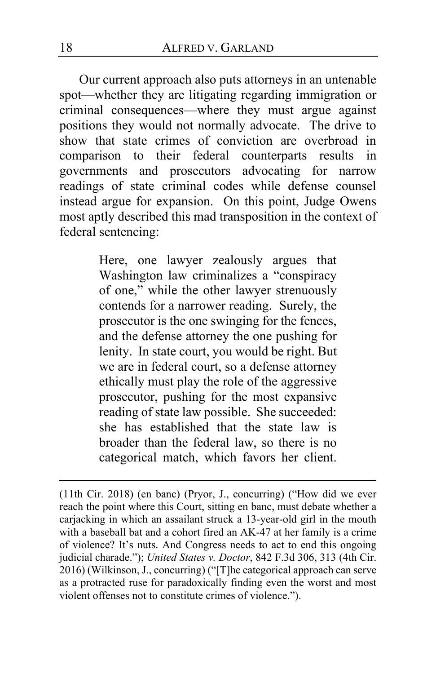Our current approach also puts attorneys in an untenable spot—whether they are litigating regarding immigration or criminal consequences—where they must argue against positions they would not normally advocate. The drive to show that state crimes of conviction are overbroad in comparison to their federal counterparts results in governments and prosecutors advocating for narrow readings of state criminal codes while defense counsel instead argue for expansion. On this point, Judge Owens most aptly described this mad transposition in the context of federal sentencing:

> Here, one lawyer zealously argues that Washington law criminalizes a "conspiracy of one," while the other lawyer strenuously contends for a narrower reading. Surely, the prosecutor is the one swinging for the fences, and the defense attorney the one pushing for lenity. In state court, you would be right. But we are in federal court, so a defense attorney ethically must play the role of the aggressive prosecutor, pushing for the most expansive reading of state law possible. She succeeded: she has established that the state law is broader than the federal law, so there is no categorical match, which favors her client.

<sup>(11</sup>th Cir. 2018) (en banc) (Pryor, J., concurring) ("How did we ever reach the point where this Court, sitting en banc, must debate whether a carjacking in which an assailant struck a 13-year-old girl in the mouth with a baseball bat and a cohort fired an AK-47 at her family is a crime of violence? It's nuts. And Congress needs to act to end this ongoing judicial charade."); *United States v. Doctor*, 842 F.3d 306, 313 (4th Cir. 2016) (Wilkinson, J., concurring) ("[T]he categorical approach can serve as a protracted ruse for paradoxically finding even the worst and most violent offenses not to constitute crimes of violence.").